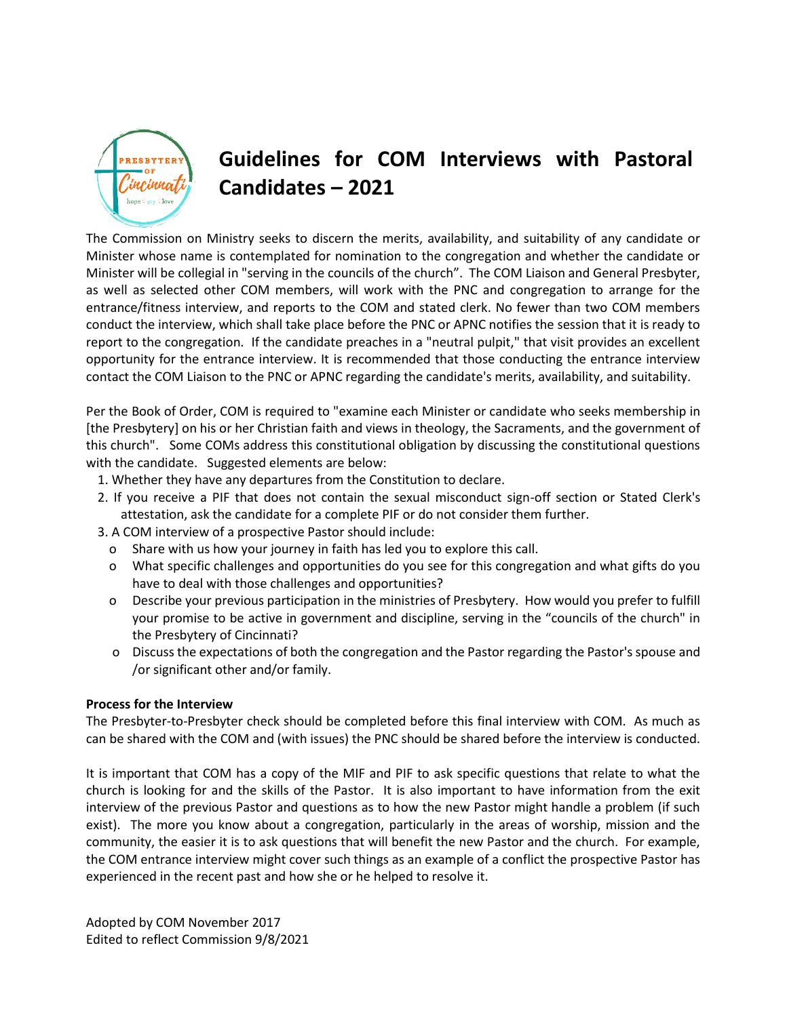

## **Guidelines for COM Interviews with Pastoral Candidates – 2021**

The Commission on Ministry seeks to discern the merits, availability, and suitability of any candidate or Minister whose name is contemplated for nomination to the congregation and whether the candidate or Minister will be collegial in "serving in the councils of the church". The COM Liaison and General Presbyter, as well as selected other COM members, will work with the PNC and congregation to arrange for the entrance/fitness interview, and reports to the COM and stated clerk. No fewer than two COM members conduct the interview, which shall take place before the PNC or APNC notifies the session that it is ready to report to the congregation. If the candidate preaches in a "neutral pulpit," that visit provides an excellent opportunity for the entrance interview. It is recommended that those conducting the entrance interview contact the COM Liaison to the PNC or APNC regarding the candidate's merits, availability, and suitability.

Per the Book of Order, COM is required to "examine each Minister or candidate who seeks membership in [the Presbytery] on his or her Christian faith and views in theology, the Sacraments, and the government of this church". Some COMs address this constitutional obligation by discussing the constitutional questions with the candidate. Suggested elements are below:

- 1. Whether they have any departures from the Constitution to declare.
- 2. If you receive a PIF that does not contain the sexual misconduct sign-off section or Stated Clerk's attestation, ask the candidate for a complete PIF or do not consider them further.
- 3. A COM interview of a prospective Pastor should include:
	- o Share with us how your journey in faith has led you to explore this call.
	- o What specific challenges and opportunities do you see for this congregation and what gifts do you have to deal with those challenges and opportunities?
	- o Describe your previous participation in the ministries of Presbytery. How would you prefer to fulfill your promise to be active in government and discipline, serving in the "councils of the church" in the Presbytery of Cincinnati?
	- o Discuss the expectations of both the congregation and the Pastor regarding the Pastor's spouse and /or significant other and/or family.

## **Process for the Interview**

The Presbyter-to-Presbyter check should be completed before this final interview with COM. As much as can be shared with the COM and (with issues) the PNC should be shared before the interview is conducted.

It is important that COM has a copy of the MIF and PIF to ask specific questions that relate to what the church is looking for and the skills of the Pastor. It is also important to have information from the exit interview of the previous Pastor and questions as to how the new Pastor might handle a problem (if such exist). The more you know about a congregation, particularly in the areas of worship, mission and the community, the easier it is to ask questions that will benefit the new Pastor and the church. For example, the COM entrance interview might cover such things as an example of a conflict the prospective Pastor has experienced in the recent past and how she or he helped to resolve it.

Adopted by COM November 2017 Edited to reflect Commission 9/8/2021